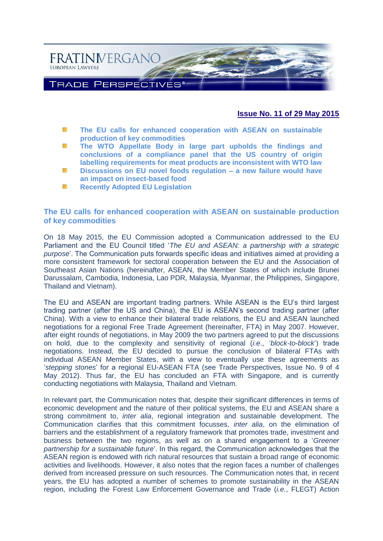

## **Issue No. 11 of 29 May 2015**

- 豀 **[The EU calls for enhanced cooperation with ASEAN on sustainable](#page-0-0)  [production of key commodities](#page-0-0)**
- 饀 **[The WTO Appellate Body in large part upholds the findings and](#page-2-0)  [conclusions of a compliance panel that the US country of origin](#page-2-0)  [labelling requirements for meat products are inconsistent with WTO law](#page-2-0)**
- SS. **[Discussions on EU novel foods regulation –](#page-4-0) a new failure would have [an impact on insect-based food](#page-4-0)**
- 存 **[Recently Adopted EU Legislation](#page-6-0)**

#### <span id="page-0-0"></span>**The EU calls for enhanced cooperation with ASEAN on sustainable production of key commodities**

On 18 May 2015, the EU Commission adopted a Communication addressed to the EU Parliament and the EU Council titled '*The EU and ASEAN: a partnership with a strategic purpose*'. The Communication puts forwards specific ideas and initiatives aimed at providing a more consistent framework for sectoral cooperation between the EU and the Association of Southeast Asian Nations (hereinafter, ASEAN, the Member States of which include Brunei Darussalam, Cambodia, Indonesia, Lao PDR, Malaysia, Myanmar, the Philippines, Singapore, Thailand and Vietnam).

The EU and ASEAN are important trading partners. While ASEAN is the EU's third largest trading partner (after the US and China), the EU is ASEAN's second trading partner (after China). With a view to enhance their bilateral trade relations, the EU and ASEAN launched negotiations for a regional Free Trade Agreement (hereinafter, FTA) in May 2007. However, after eight rounds of negotiations, in May 2009 the two partners agreed to put the discussions on hold, due to the complexity and sensitivity of regional (*i.e*., '*block-to-block*') trade negotiations. Instead, the EU decided to pursue the conclusion of bilateral FTAs with individual ASEAN Member States, with a view to eventually use these agreements as '*stepping stones*' for a regional EU-ASEAN FTA (see Trade Perspectives, Issue No. 9 of 4 May 2012). Thus far, the EU has concluded an FTA with Singapore, and is currently conducting negotiations with Malaysia, Thailand and Vietnam.

In relevant part, the Communication notes that, despite their significant differences in terms of economic development and the nature of their political systems, the EU and ASEAN share a strong commitment to, *inter alia*, regional integration and sustainable development. The Communication clarifies that this commitment focusses, *inter alia*, on the elimination of barriers and the establishment of a regulatory framework that promotes trade, investment and business between the two regions, as well as on a shared engagement to a '*Greener partnership for a sustainable future*'. In this regard, the Communication acknowledges that the ASEAN region is endowed with rich natural resources that sustain a broad range of economic activities and livelihoods. However, it also notes that the region faces a number of challenges derived from increased pressure on such resources. The Communication notes that, in recent years, the EU has adopted a number of schemes to promote sustainability in the ASEAN region, including the Forest Law Enforcement Governance and Trade (*i.e.*, FLEGT) Action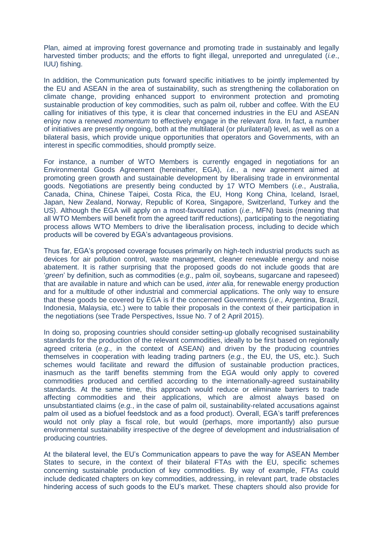Plan, aimed at improving forest governance and promoting trade in sustainably and legally harvested timber products; and the efforts to fight illegal, unreported and unregulated (*i.e*., IUU) fishing.

In addition, the Communication puts forward specific initiatives to be jointly implemented by the EU and ASEAN in the area of sustainability, such as strengthening the collaboration on climate change, providing enhanced support to environment protection and promoting sustainable production of key commodities, such as palm oil, rubber and coffee. With the EU calling for initiatives of this type, it is clear that concerned industries in the EU and ASEAN enjoy now a renewed *momentum* to effectively engage in the relevant *fora*. In fact, a number of initiatives are presently ongoing, both at the multilateral (or plurilateral) level, as well as on a bilateral basis, which provide unique opportunities that operators and Governments, with an interest in specific commodities, should promptly seize.

For instance, a number of WTO Members is currently engaged in negotiations for an Environmental Goods Agreement (hereinafter, EGA), *i.e.*, a new agreement aimed at promoting green growth and sustainable development by liberalising trade in environmental goods. Negotiations are presently being conducted by 17 WTO Members (*i.e.*, Australia, Canada, China, Chinese Taipei, Costa Rica, the EU, Hong Kong China, Iceland, Israel, Japan, New Zealand, Norway, Republic of Korea, Singapore, Switzerland, Turkey and the US). Although the EGA will apply on a most-favoured nation (*i.e.*, MFN) basis (meaning that all WTO Members will benefit from the agreed tariff reductions), participating to the negotiating process allows WTO Members to drive the liberalisation process, including to decide which products will be covered by EGA's advantageous provisions.

Thus far, EGA's proposed coverage focuses primarily on high-tech industrial products such as devices for air pollution control, waste management, cleaner renewable energy and noise abatement. It is rather surprising that the proposed goods do not include goods that are '*green*' by definition, such as commodities (*e.g*., palm oil, soybeans, sugarcane and rapeseed) that are available in nature and which can be used, *inter alia*, for renewable energy production and for a multitude of other industrial and commercial applications. The only way to ensure that these goods be covered by EGA is if the concerned Governments (*i.e*., Argentina, Brazil, Indonesia, Malaysia, etc.) were to table their proposals in the context of their participation in the negotiations (see Trade Perspectives, Issue No. 7 of 2 April 2015).

In doing so, proposing countries should consider setting-up globally recognised sustainability standards for the production of the relevant commodities, ideally to be first based on regionally agreed criteria (*e.g*., in the context of ASEAN) and driven by the producing countries themselves in cooperation with leading trading partners (*e.g.*, the EU, the US, etc.). Such schemes would facilitate and reward the diffusion of sustainable production practices, inasmuch as the tariff benefits stemming from the EGA would only apply to covered commodities produced and certified according to the internationally-agreed sustainability standards. At the same time, this approach would reduce or eliminate barriers to trade affecting commodities and their applications, which are almost always based on unsubstantiated claims (*e.g.*, in the case of palm oil, sustainability-related accusations against palm oil used as a biofuel feedstock and as a food product). Overall, EGA's tariff preferences would not only play a fiscal role, but would (perhaps, more importantly) also pursue environmental sustainability irrespective of the degree of development and industrialisation of producing countries.

At the bilateral level, the EU's Communication appears to pave the way for ASEAN Member States to secure, in the context of their bilateral FTAs with the EU, specific schemes concerning sustainable production of key commodities. By way of example, FTAs could include dedicated chapters on key commodities, addressing, in relevant part, trade obstacles hindering access of such goods to the EU's market. These chapters should also provide for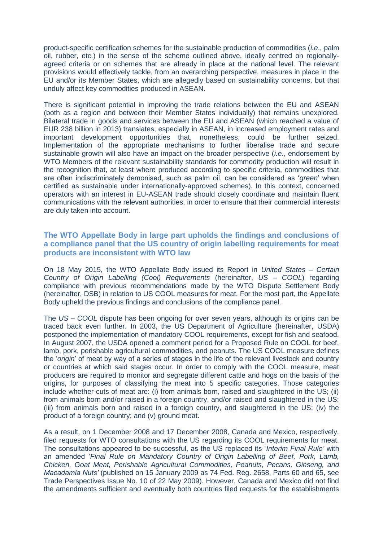product-specific certification schemes for the sustainable production of commodities (*i.e*., palm oil, rubber, etc.) in the sense of the scheme outlined above, ideally centred on regionallyagreed criteria or on schemes that are already in place at the national level. The relevant provisions would effectively tackle, from an overarching perspective, measures in place in the EU and/or its Member States, which are allegedly based on sustainability concerns, but that unduly affect key commodities produced in ASEAN.

There is significant potential in improving the trade relations between the EU and ASEAN (both as a region and between their Member States individually) that remains unexplored. Bilateral trade in goods and services between the EU and ASEAN (which reached a value of EUR 238 billion in 2013) translates, especially in ASEAN, in increased employment rates and important development opportunities that, nonetheless, could be further seized. Implementation of the appropriate mechanisms to further liberalise trade and secure sustainable growth will also have an impact on the broader perspective (*i.e.*, endorsement by WTO Members of the relevant sustainability standards for commodity production will result in the recognition that, at least where produced according to specific criteria, commodities that are often indiscriminately demonised, such as palm oil, can be considered as '*green*' when certified as sustainable under internationally-approved schemes). In this context, concerned operators with an interest in EU-ASEAN trade should closely coordinate and maintain fluent communications with the relevant authorities, in order to ensure that their commercial interests are duly taken into account.

## <span id="page-2-0"></span>**The WTO Appellate Body in large part upholds the findings and conclusions of a compliance panel that the US country of origin labelling requirements for meat products are inconsistent with WTO law**

On 18 May 2015, the WTO Appellate Body issued its Report in *United States – Certain Country of Origin Labelling (Cool) Requirements* (hereinafter, *US – COOL*) regarding compliance with previous recommendations made by the WTO Dispute Settlement Body (hereinafter, DSB) in relation to US COOL measures for meat. For the most part, the Appellate Body upheld the previous findings and conclusions of the compliance panel.

The *US – COOL* dispute has been ongoing for over seven years, although its origins can be traced back even further. In 2003, the US Department of Agriculture (hereinafter, USDA) postponed the implementation of mandatory COOL requirements, except for fish and seafood. In August 2007, the USDA opened a comment period for a Proposed Rule on COOL for beef, lamb, pork, perishable agricultural commodities, and peanuts. The US COOL measure defines the '*origin*' of meat by way of a series of stages in the life of the relevant livestock and country or countries at which said stages occur. In order to comply with the COOL measure, meat producers are required to monitor and segregate different cattle and hogs on the basis of the origins, for purposes of classifying the meat into 5 specific categories. Those categories include whether cuts of meat are: (i) from animals born, raised and slaughtered in the US; (ii) from animals born and/or raised in a foreign country, and/or raised and slaughtered in the US; (iii) from animals born and raised in a foreign country, and slaughtered in the US; (iv) the product of a foreign country; and (v) ground meat.

As a result, on 1 December 2008 and 17 December 2008, Canada and Mexico, respectively, filed requests for WTO consultations with the US regarding its COOL requirements for meat. The consultations appeared to be successful, as the US replaced its '*Interim Final Rule'* with an amended '*Final Rule on Mandatory Country of Origin Labelling of Beef, Pork, Lamb, Chicken, Goat Meat, Perishable Agricultural Commodities, Peanuts, Pecans, Ginseng, and Macadamia Nuts'* (published on 15 January 2009 as 74 Fed. Reg. 2658, Parts 60 and 65, see Trade Perspectives Issue No. 10 of 22 May 2009). However, Canada and Mexico did not find the amendments sufficient and eventually both countries filed requests for the establishments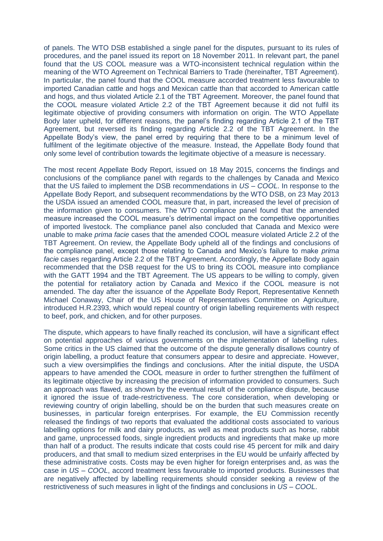of panels. The WTO DSB established a single panel for the disputes, pursuant to its rules of procedures, and the panel issued its report on 18 November 2011. In relevant part, the panel found that the US COOL measure was a WTO-inconsistent technical regulation within the meaning of the WTO Agreement on Technical Barriers to Trade (hereinafter, TBT Agreement). In particular, the panel found that the COOL measure accorded treatment less favourable to imported Canadian cattle and hogs and Mexican cattle than that accorded to American cattle and hogs, and thus violated Article 2.1 of the TBT Agreement. Moreover, the panel found that the COOL measure violated Article 2.2 of the TBT Agreement because it did not fulfil its legitimate objective of providing consumers with information on origin. The WTO Appellate Body later upheld, for different reasons, the panel's finding regarding Article 2.1 of the TBT Agreement, but reversed its finding regarding Article 2.2 of the TBT Agreement. In the Appellate Body's view, the panel erred by requiring that there to be a minimum level of fulfilment of the legitimate objective of the measure. Instead, the Appellate Body found that only some level of contribution towards the legitimate objective of a measure is necessary.

The most recent Appellate Body Report, issued on 18 May 2015, concerns the findings and conclusions of the compliance panel with regards to the challenges by Canada and Mexico that the US failed to implement the DSB recommendations in *US – COOL*. In response to the Appellate Body Report, and subsequent recommendations by the WTO DSB, on 23 May 2013 the USDA issued an amended COOL measure that, in part, increased the level of precision of the information given to consumers. The WTO compliance panel found that the amended measure increased the COOL measure's detrimental impact on the competitive opportunities of imported livestock. The compliance panel also concluded that Canada and Mexico were unable to make *prima facie* cases that the amended COOL measure violated Article 2.2 of the TBT Agreement. On review, the Appellate Body upheld all of the findings and conclusions of the compliance panel, except those relating to Canada and Mexico's failure to make *prima facie* cases regarding Article 2.2 of the TBT Agreement. Accordingly, the Appellate Body again recommended that the DSB request for the US to bring its COOL measure into compliance with the GATT 1994 and the TBT Agreement. The US appears to be willing to comply, given the potential for retaliatory action by Canada and Mexico if the COOL measure is not amended. The day after the issuance of the Appellate Body Report, Representative Kenneth Michael Conaway, Chair of the US House of Representatives Committee on Agriculture, introduced H.R.2393, which would repeal country of origin labelling requirements with respect to beef, pork, and chicken, and for other purposes.

The dispute, which appears to have finally reached its conclusion, will have a significant effect on potential approaches of various governments on the implementation of labelling rules. Some critics in the US claimed that the outcome of the dispute generally disallows country of origin labelling, a product feature that consumers appear to desire and appreciate. However, such a view oversimplifies the findings and conclusions. After the initial dispute, the USDA appears to have amended the COOL measure in order to further strengthen the fulfilment of its legitimate objective by increasing the precision of information provided to consumers. Such an approach was flawed, as shown by the eventual result of the compliance dispute, because it ignored the issue of trade-restrictiveness. The core consideration, when developing or reviewing country of origin labelling, should be on the burden that such measures create on businesses, in particular foreign enterprises. For example, the EU Commission recently released the findings of two reports that evaluated the additional costs associated to various labelling options for milk and dairy products, as well as meat products such as horse, rabbit and game, unprocessed foods, single ingredient products and ingredients that make up more than half of a product. The results indicate that costs could rise 45 percent for milk and dairy producers, and that small to medium sized enterprises in the EU would be unfairly affected by these administrative costs. Costs may be even higher for foreign enterprises and, as was the case in *US – COOL*, accord treatment less favourable to imported products. Businesses that are negatively affected by labelling requirements should consider seeking a review of the restrictiveness of such measures in light of the findings and conclusions in *US – COOL*.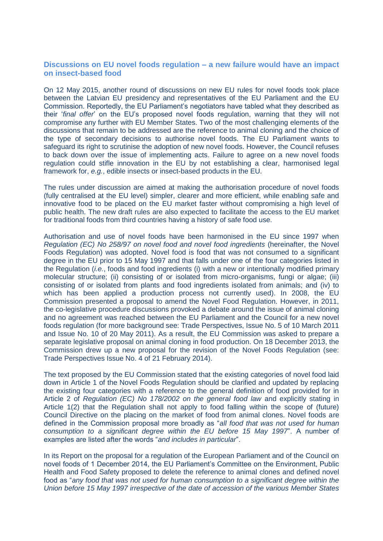## <span id="page-4-0"></span>**Discussions on EU novel foods regulation – a new failure would have an impact on insect-based food**

On 12 May 2015, another round of discussions on new EU rules for novel foods took place between the Latvian EU presidency and representatives of the EU Parliament and the EU Commission. Reportedly, the EU Parliament's negotiators have tabled what they described as their '*final offer*' on the EU's proposed novel foods regulation, warning that they will not compromise any further with EU Member States. Two of the most challenging elements of the discussions that remain to be addressed are the reference to animal cloning and the choice of the type of secondary decisions to authorise novel foods. The EU Parliament wants to safeguard its right to scrutinise the adoption of new novel foods. However, the Council refuses to back down over the issue of implementing acts. Failure to agree on a new novel foods regulation could stifle innovation in the EU by not establishing a clear, harmonised legal framework for, *e.g.*, edible insects or insect-based products in the EU.

The rules under discussion are aimed at making the authorisation procedure of novel foods (fully centralised at the EU level) simpler, clearer and more efficient, while enabling safe and innovative food to be placed on the EU market faster without compromising a high level of public health. The new draft rules are also expected to facilitate the access to the EU market for traditional foods from third countries having a history of safe food use.

Authorisation and use of novel foods have been harmonised in the EU since 1997 when *Regulation (EC) No 258/97 on novel food and novel food ingredients* (hereinafter, the Novel Foods Regulation) was adopted. Novel food is food that was not consumed to a significant degree in the EU prior to 15 May 1997 and that falls under one of the four categories listed in the Regulation (*i.e.*, foods and food ingredients (i) with a new or intentionally modified primary molecular structure; (ii) consisting of or isolated from micro-organisms, fungi or algae; (iii) consisting of or isolated from plants and food ingredients isolated from animals; and (iv) to which has been applied a production process not currently used). In 2008, the EU Commission presented a proposal to amend the Novel Food Regulation. However, in 2011, the co-legislative procedure discussions provoked a debate around the issue of animal cloning and no agreement was reached between the EU Parliament and the Council for a new novel foods regulation (for more background see: Trade Perspectives, Issue No. 5 of 10 March 2011 and Issue No. 10 of 20 May 2011). As a result, the EU Commission was asked to prepare a separate legislative proposal on animal cloning in food production. On 18 December 2013, the Commission drew up a new proposal for the revision of the Novel Foods Regulation (see: Trade Perspectives Issue No. 4 of 21 February 2014).

The text proposed by the EU Commission stated that the existing categories of novel food laid down in Article 1 of the Novel Foods Regulation should be clarified and updated by replacing the existing four categories with a reference to the general definition of food provided for in Article 2 of *Regulation (EC) No 178/2002 on the general food law* and explicitly stating in Article 1(2) that the Regulation shall not apply to food falling within the scope of (future) Council Directive on the placing on the market of food from animal clones. Novel foods are defined in the Commission proposal more broadly as "*all food that was not used for human consumption to a significant degree within the EU before 15 May 1997*". A number of examples are listed after the words "*and includes in particular*".

In its Report on the proposal for a regulation of the European Parliament and of the Council on novel foods of 1 December 2014, the EU Parliament's Committee on the Environment, Public Health and Food Safety proposed to delete the reference to animal clones and defined novel food as "*any food that was not used for human consumption to a significant degree within the Union before 15 May 1997 irrespective of the date of accession of the various Member States*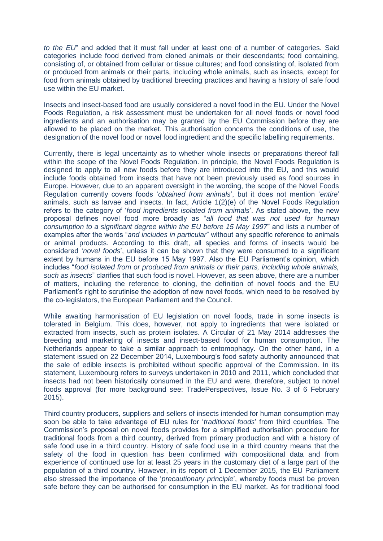*to the EU*" and added that it must fall under at least one of a number of categories. Said categories include food derived from cloned animals or their descendants; food containing, consisting of, or obtained from cellular or tissue cultures; and food consisting of, isolated from or produced from animals or their parts, including whole animals, such as insects, except for food from animals obtained by traditional breeding practices and having a history of safe food use within the EU market.

Insects and insect-based food are usually considered a novel food in the EU. Under the Novel Foods Regulation, a risk assessment must be undertaken for all novel foods or novel food ingredients and an authorisation may be granted by the EU Commission before they are allowed to be placed on the market. This authorisation concerns the conditions of use, the designation of the novel food or novel food ingredient and the specific labelling requirements.

Currently, there is legal uncertainty as to whether whole insects or preparations thereof fall within the scope of the Novel Foods Regulation. In principle, the Novel Foods Regulation is designed to apply to all new foods before they are introduced into the EU, and this would include foods obtained from insects that have not been previously used as food sources in Europe. However, due to an apparent oversight in the wording, the scope of the Novel Foods Regulation currently covers foods '*obtained from animals*', but it does not mention '*entire*' animals, such as larvae and insects. In fact, Article 1(2)(e) of the Novel Foods Regulation refers to the category of '*food ingredients isolated from animals*'. As stated above, the new proposal defines novel food more broadly as "*all food that was not used for human consumption to a significant degree within the EU before 15 May 1997*" and lists a number of examples after the words "*and includes in particular*" without any specific reference to animals or animal products. According to this draft, all species and forms of insects would be considered '*novel foods*', unless it can be shown that they were consumed to a significant extent by humans in the EU before 15 May 1997. Also the EU Parliament's opinion, which includes "*food isolated from or produced from animals or their parts, including whole animals, such as insects*" clarifies that such food is novel. However, as seen above, there are a number of matters, including the reference to cloning, the definition of novel foods and the EU Parliament's right to scrutinise the adoption of new novel foods, which need to be resolved by the co-legislators, the European Parliament and the Council.

While awaiting harmonisation of EU legislation on novel foods, trade in some insects is tolerated in Belgium. This does, however, not apply to ingredients that were isolated or extracted from insects, such as protein isolates. A Circular of 21 May 2014 addresses the breeding and marketing of insects and insect-based food for human consumption. The Netherlands appear to take a similar approach to entomophagy. On the other hand, in a statement issued on 22 December 2014, Luxembourg's food safety authority announced that the sale of edible insects is prohibited without specific approval of the Commission. In its statement, Luxembourg refers to surveys undertaken in 2010 and 2011, which concluded that insects had not been historically consumed in the EU and were, therefore, subject to novel foods approval (for more background see: TradePerspectives, Issue No. 3 of 6 February 2015).

Third country producers, suppliers and sellers of insects intended for human consumption may soon be able to take advantage of EU rules for '*traditional foods*' from third countries. The Commission's proposal on novel foods provides for a simplified authorisation procedure for traditional foods from a third country, derived from primary production and with a history of safe food use in a third country. History of safe food use in a third country means that the safety of the food in question has been confirmed with compositional data and from experience of continued use for at least 25 years in the customary diet of a large part of the population of a third country. However, in its report of 1 December 2015, the EU Parliament also stressed the importance of the '*precautionary principle*', whereby foods must be proven safe before they can be authorised for consumption in the EU market. As for traditional food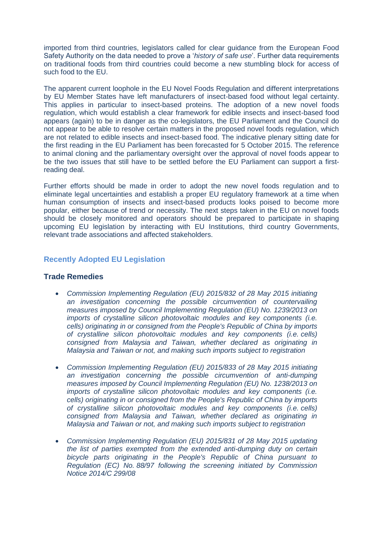imported from third countries, legislators called for clear guidance from the European Food Safety Authority on the data needed to prove a '*history of safe use*'. Further data requirements on traditional foods from third countries could become a new stumbling block for access of such food to the EU.

The apparent current loophole in the EU Novel Foods Regulation and different interpretations by EU Member States have left manufacturers of insect-based food without legal certainty. This applies in particular to insect-based proteins. The adoption of a new novel foods regulation, which would establish a clear framework for edible insects and insect-based food appears (again) to be in danger as the co-legislators, the EU Parliament and the Council do not appear to be able to resolve certain matters in the proposed novel foods regulation, which are not related to edible insects and insect-based food. The indicative plenary sitting date for the first reading in the EU Parliament has been forecasted for 5 October 2015. The reference to animal cloning and the parliamentary oversight over the approval of novel foods appear to be the two issues that still have to be settled before the EU Parliament can support a firstreading deal.

Further efforts should be made in order to adopt the new novel foods regulation and to eliminate legal uncertainties and establish a proper EU regulatory framework at a time when human consumption of insects and insect-based products looks poised to become more popular, either because of trend or necessity. The next steps taken in the EU on novel foods should be closely monitored and operators should be prepared to participate in shaping upcoming EU legislation by interacting with EU Institutions, third country Governments, relevant trade associations and affected stakeholders.

#### <span id="page-6-0"></span>**Recently Adopted EU Legislation**

## **Trade Remedies**

- *[Commission Implementing Regulation \(EU\) 2015/832 of 28 May 2015 initiating](http://eur-lex.europa.eu/legal-content/EN/AUTO/?uri=uriserv:OJ.L_.2015.132.01.0053.01.ENG)  [an investigation concerning the possible circumvention of countervailing](http://eur-lex.europa.eu/legal-content/EN/AUTO/?uri=uriserv:OJ.L_.2015.132.01.0053.01.ENG)  [measures imposed by Council Implementing Regulation \(EU\) No. 1239/2013 on](http://eur-lex.europa.eu/legal-content/EN/AUTO/?uri=uriserv:OJ.L_.2015.132.01.0053.01.ENG)  [imports of crystalline silicon photovoltaic modules and key components \(i.e.](http://eur-lex.europa.eu/legal-content/EN/AUTO/?uri=uriserv:OJ.L_.2015.132.01.0053.01.ENG)  [cells\) originating in or consigned from the People's Republic of China by imports](http://eur-lex.europa.eu/legal-content/EN/AUTO/?uri=uriserv:OJ.L_.2015.132.01.0053.01.ENG)  [of crystalline silicon photovoltaic modules and key components \(i.e.](http://eur-lex.europa.eu/legal-content/EN/AUTO/?uri=uriserv:OJ.L_.2015.132.01.0053.01.ENG) cells) [consigned from Malaysia and Taiwan, whether declared as originating in](http://eur-lex.europa.eu/legal-content/EN/AUTO/?uri=uriserv:OJ.L_.2015.132.01.0053.01.ENG)  [Malaysia and Taiwan or not, and making such imports subject to registration](http://eur-lex.europa.eu/legal-content/EN/AUTO/?uri=uriserv:OJ.L_.2015.132.01.0053.01.ENG)*
- *[Commission Implementing Regulation \(EU\) 2015/833 of 28 May 2015 initiating](http://eur-lex.europa.eu/legal-content/EN/AUTO/?uri=uriserv:OJ.L_.2015.132.01.0060.01.ENG)  [an investigation concerning the possible circumvention of anti-dumping](http://eur-lex.europa.eu/legal-content/EN/AUTO/?uri=uriserv:OJ.L_.2015.132.01.0060.01.ENG)  [measures imposed by Council Implementing Regulation \(EU\) No. 1238/2013 on](http://eur-lex.europa.eu/legal-content/EN/AUTO/?uri=uriserv:OJ.L_.2015.132.01.0060.01.ENG)  [imports of crystalline silicon photovoltaic modules and key components \(i.e.](http://eur-lex.europa.eu/legal-content/EN/AUTO/?uri=uriserv:OJ.L_.2015.132.01.0060.01.ENG)  [cells\) originating in or consigned from the People's Republic of China by imports](http://eur-lex.europa.eu/legal-content/EN/AUTO/?uri=uriserv:OJ.L_.2015.132.01.0060.01.ENG)  [of crystalline silicon photovoltaic modules and key components \(i.e.](http://eur-lex.europa.eu/legal-content/EN/AUTO/?uri=uriserv:OJ.L_.2015.132.01.0060.01.ENG) cells) [consigned from Malaysia and Taiwan, whether declared as originating in](http://eur-lex.europa.eu/legal-content/EN/AUTO/?uri=uriserv:OJ.L_.2015.132.01.0060.01.ENG)  [Malaysia and Taiwan or not, and making such imports subject to registration](http://eur-lex.europa.eu/legal-content/EN/AUTO/?uri=uriserv:OJ.L_.2015.132.01.0060.01.ENG)*
- *[Commission Implementing Regulation \(EU\) 2015/831 of 28 May 2015 updating](http://eur-lex.europa.eu/legal-content/EN/AUTO/?uri=uriserv:OJ.L_.2015.132.01.0032.01.ENG)  [the list of parties exempted from the extended anti-dumping duty on certain](http://eur-lex.europa.eu/legal-content/EN/AUTO/?uri=uriserv:OJ.L_.2015.132.01.0032.01.ENG)  [bicycle parts originating in the People's Republic of China pursuant to](http://eur-lex.europa.eu/legal-content/EN/AUTO/?uri=uriserv:OJ.L_.2015.132.01.0032.01.ENG)  Regulation (EC) No. [88/97 following the screening initiated by Commission](http://eur-lex.europa.eu/legal-content/EN/AUTO/?uri=uriserv:OJ.L_.2015.132.01.0032.01.ENG)  [Notice 2014/C 299/08](http://eur-lex.europa.eu/legal-content/EN/AUTO/?uri=uriserv:OJ.L_.2015.132.01.0032.01.ENG)*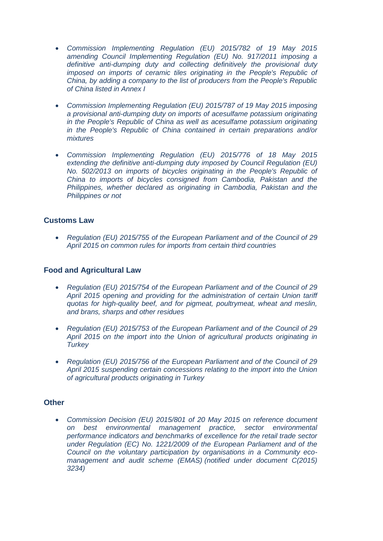- *[Commission Implementing Regulation \(EU\) 2015/782 of 19 May 2015](http://eur-lex.europa.eu/legal-content/EN/AUTO/?uri=uriserv:OJ.L_.2015.124.01.0009.01.ENG)  [amending Council Implementing Regulation \(EU\) No. 917/2011 imposing a](http://eur-lex.europa.eu/legal-content/EN/AUTO/?uri=uriserv:OJ.L_.2015.124.01.0009.01.ENG)  [definitive anti-dumping duty and collecting definitively the provisional duty](http://eur-lex.europa.eu/legal-content/EN/AUTO/?uri=uriserv:OJ.L_.2015.124.01.0009.01.ENG)  [imposed on imports of ceramic tiles originating in the People's Republic of](http://eur-lex.europa.eu/legal-content/EN/AUTO/?uri=uriserv:OJ.L_.2015.124.01.0009.01.ENG)  [China, by adding a company to the list of producers from the People's Republic](http://eur-lex.europa.eu/legal-content/EN/AUTO/?uri=uriserv:OJ.L_.2015.124.01.0009.01.ENG)  [of China listed in Annex I](http://eur-lex.europa.eu/legal-content/EN/AUTO/?uri=uriserv:OJ.L_.2015.124.01.0009.01.ENG)*
- *[Commission Implementing Regulation \(EU\) 2015/787 of 19 May 2015 imposing](http://eur-lex.europa.eu/legal-content/EN/AUTO/?uri=uriserv:OJ.L_.2015.125.01.0015.01.ENG)  [a provisional anti-dumping duty on imports of acesulfame potassium originating](http://eur-lex.europa.eu/legal-content/EN/AUTO/?uri=uriserv:OJ.L_.2015.125.01.0015.01.ENG)*  in the People's Republic of China as well as acesulfame potassium originating *[in the People's Republic of China contained in certain preparations and/or](http://eur-lex.europa.eu/legal-content/EN/AUTO/?uri=uriserv:OJ.L_.2015.125.01.0015.01.ENG)  [mixtures](http://eur-lex.europa.eu/legal-content/EN/AUTO/?uri=uriserv:OJ.L_.2015.125.01.0015.01.ENG)*
- *[Commission Implementing Regulation \(EU\) 2015/776 of 18 May 2015](http://eur-lex.europa.eu/legal-content/EN/AUTO/?uri=uriserv:OJ.L_.2015.122.01.0004.01.ENG)  [extending the definitive anti-dumping duty imposed by Council Regulation \(EU\)](http://eur-lex.europa.eu/legal-content/EN/AUTO/?uri=uriserv:OJ.L_.2015.122.01.0004.01.ENG)  [No. 502/2013 on imports of bicycles originating in the People's Republic of](http://eur-lex.europa.eu/legal-content/EN/AUTO/?uri=uriserv:OJ.L_.2015.122.01.0004.01.ENG)  [China to imports of bicycles consigned from Cambodia, Pakistan and the](http://eur-lex.europa.eu/legal-content/EN/AUTO/?uri=uriserv:OJ.L_.2015.122.01.0004.01.ENG)  [Philippines, whether declared as originating in Cambodia, Pakistan and the](http://eur-lex.europa.eu/legal-content/EN/AUTO/?uri=uriserv:OJ.L_.2015.122.01.0004.01.ENG)  [Philippines or not](http://eur-lex.europa.eu/legal-content/EN/AUTO/?uri=uriserv:OJ.L_.2015.122.01.0004.01.ENG)*

# **Customs Law**

 *[Regulation \(EU\) 2015/755 of the European Parliament and of the Council of 29](http://eur-lex.europa.eu/legal-content/EN/AUTO/?uri=uriserv:OJ.L_.2015.123.01.0033.01.ENG)  [April 2015 on common rules for imports from certain third countries](http://eur-lex.europa.eu/legal-content/EN/AUTO/?uri=uriserv:OJ.L_.2015.123.01.0033.01.ENG)*

## **Food and Agricultural Law**

- *Regulation (EU) 2015/754 of the [European Parliament and of the Council of 29](http://eur-lex.europa.eu/legal-content/EN/AUTO/?uri=uriserv:OJ.L_.2015.123.01.0027.01.ENG)  [April 2015 opening and providing for the administration of certain Union tariff](http://eur-lex.europa.eu/legal-content/EN/AUTO/?uri=uriserv:OJ.L_.2015.123.01.0027.01.ENG)  [quotas for high-quality beef, and for pigmeat, poultrymeat, wheat and meslin,](http://eur-lex.europa.eu/legal-content/EN/AUTO/?uri=uriserv:OJ.L_.2015.123.01.0027.01.ENG)  [and brans, sharps and other residues](http://eur-lex.europa.eu/legal-content/EN/AUTO/?uri=uriserv:OJ.L_.2015.123.01.0027.01.ENG)*
- *[Regulation \(EU\) 2015/753 of the European Parliament and of the Council of 29](http://eur-lex.europa.eu/legal-content/EN/AUTO/?uri=uriserv:OJ.L_.2015.123.01.0023.01.ENG)  [April 2015 on the import into the Union of agricultural products originating in](http://eur-lex.europa.eu/legal-content/EN/AUTO/?uri=uriserv:OJ.L_.2015.123.01.0023.01.ENG)  [Turkey](http://eur-lex.europa.eu/legal-content/EN/AUTO/?uri=uriserv:OJ.L_.2015.123.01.0023.01.ENG)*
- *[Regulation \(EU\) 2015/756 of the European Parliament and of the Council of 29](http://eur-lex.europa.eu/legal-content/EN/AUTO/?uri=uriserv:OJ.L_.2015.123.01.0050.01.ENG)  [April 2015 suspending certain concessions relating to the import into the Union](http://eur-lex.europa.eu/legal-content/EN/AUTO/?uri=uriserv:OJ.L_.2015.123.01.0050.01.ENG)  [of agricultural products originating in Turkey](http://eur-lex.europa.eu/legal-content/EN/AUTO/?uri=uriserv:OJ.L_.2015.123.01.0050.01.ENG)*

#### **Other**

 *[Commission Decision \(EU\) 2015/801 of 20 May 2015 on reference document](http://eur-lex.europa.eu/legal-content/EN/AUTO/?uri=uriserv:OJ.L_.2015.127.01.0025.01.ENG)  [on best environmental management practice, sector environmental](http://eur-lex.europa.eu/legal-content/EN/AUTO/?uri=uriserv:OJ.L_.2015.127.01.0025.01.ENG)  [performance indicators and benchmarks of excellence for the retail trade sector](http://eur-lex.europa.eu/legal-content/EN/AUTO/?uri=uriserv:OJ.L_.2015.127.01.0025.01.ENG)  [under Regulation \(EC\) No. 1221/2009 of the European Parliament and of the](http://eur-lex.europa.eu/legal-content/EN/AUTO/?uri=uriserv:OJ.L_.2015.127.01.0025.01.ENG)  [Council on the voluntary participation by organisations in a Community eco](http://eur-lex.europa.eu/legal-content/EN/AUTO/?uri=uriserv:OJ.L_.2015.127.01.0025.01.ENG)[management and audit scheme \(EMAS\)](http://eur-lex.europa.eu/legal-content/EN/AUTO/?uri=uriserv:OJ.L_.2015.127.01.0025.01.ENG) (notified under document C(2015) [3234\)](http://eur-lex.europa.eu/legal-content/EN/AUTO/?uri=uriserv:OJ.L_.2015.127.01.0025.01.ENG)*